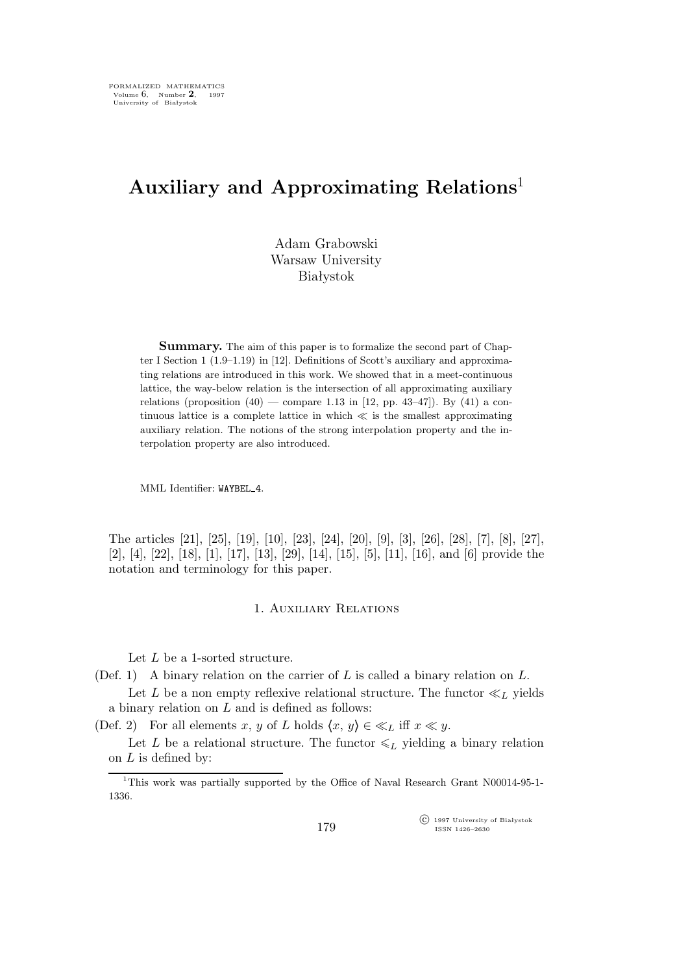# **Auxiliary and Approximating Relations**<sup>1</sup>

Adam Grabowski Warsaw University Białystok

**Summary.** The aim of this paper is to formalize the second part of Chapter I Section 1 (1.9–1.19) in [12]. Definitions of Scott's auxiliary and approximating relations are introduced in this work. We showed that in a meet-continuous lattice, the way-below relation is the intersection of all approximating auxiliary relations (proposition  $(40)$  — compare 1.13 in [12, pp. 43–47]). By  $(41)$  a continuous lattice is a complete lattice in which *≪* is the smallest approximating auxiliary relation. The notions of the strong interpolation property and the interpolation property are also introduced.

MML Identifier: WAYBEL 4.

The articles [21], [25], [19], [10], [23], [24], [20], [9], [3], [26], [28], [7], [8], [27], [2], [4], [22], [18], [1], [17], [13], [29], [14], [15], [5], [11], [16], and [6] provide the notation and terminology for this paper.

# 1. Auxiliary Relations

Let L be a 1-sorted structure.

(Def. 1) A binary relation on the carrier of  $L$  is called a binary relation on  $L$ .

Let L be a non empty reflexive relational structure. The functor  $\ll_L$  yields a binary relation on  $L$  and is defined as follows:

(Def. 2) For all elements x, y of L holds  $\langle x, y \rangle \in \ll_L$  iff  $x \ll y$ .

Let L be a relational structure. The functor  $\leq L$  yielding a binary relation on  $L$  is defined by:

 $\widehat{C}$  1997 University of Białystok ISSN 1426–2630

<sup>1</sup>This work was partially supported by the Office of Naval Research Grant N00014-95-1- 1336.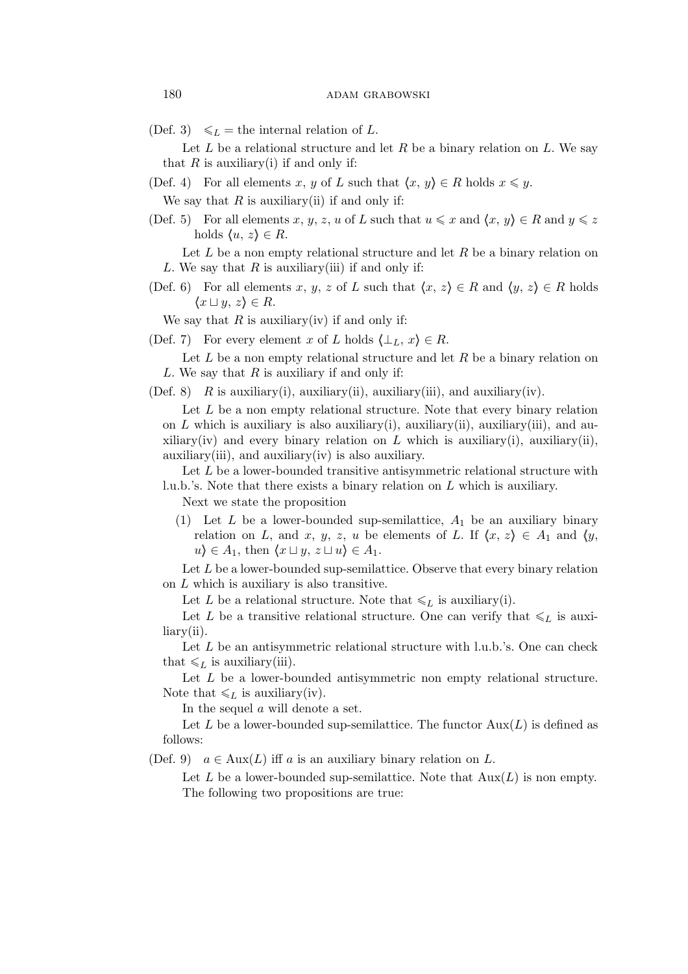(Def. 3)  $\leq L$  = the internal relation of L.

Let L be a relational structure and let R be a binary relation on L. We say that  $R$  is auxiliary(i) if and only if:

(Def. 4) For all elements x, y of L such that  $\langle x, y \rangle \in R$  holds  $x \leq y$ .

We say that  $R$  is auxiliary(ii) if and only if:

(Def. 5) For all elements x, y, z, u of L such that  $u \leq x$  and  $\langle x, y \rangle \in R$  and  $y \leq z$ holds  $\langle u, z \rangle \in R$ .

Let  $L$  be a non empty relational structure and let  $R$  be a binary relation on L. We say that  $R$  is auxiliary(iii) if and only if:

(Def. 6) For all elements x, y, z of L such that  $\langle x, z \rangle \in R$  and  $\langle y, z \rangle \in R$  holds *h*x *⊔* y, z*i ∈* R.

We say that  $R$  is auxiliary(iv) if and only if:

(Def. 7) For every element x of L holds  $\langle \perp_L, x \rangle \in R$ .

Let  $L$  be a non empty relational structure and let  $R$  be a binary relation on L. We say that  $R$  is auxiliary if and only if:

(Def. 8) R is auxiliary(i), auxiliary(ii), auxiliary(iii), and auxiliary(iv).

Let  $L$  be a non empty relational structure. Note that every binary relation on  $L$  which is auxiliary is also auxiliary(i), auxiliary(ii), auxiliary(iii), and auxiliary(iv) and every binary relation on L which is auxiliary(i), auxiliary(ii),  $\alpha$ uxiliary(iii), and  $\alpha$ uxiliary(iv) is also auxiliary.

Let L be a lower-bounded transitive antisymmetric relational structure with l.u.b.'s. Note that there exists a binary relation on L which is auxiliary.

Next we state the proposition

(1) Let L be a lower-bounded sup-semilattice,  $A_1$  be an auxiliary binary relation on L, and x, y, z, u be elements of L. If  $\langle x, z \rangle \in A_1$  and  $\langle y, z \rangle$  $u$ *i* ∈ A<sub>1</sub>, then  $\langle x \sqcup y, z \sqcup u \rangle \in A_1$ .

Let  $L$  be a lower-bounded sup-semilattice. Observe that every binary relation on L which is auxiliary is also transitive.

Let L be a relational structure. Note that  $\leq L$  is auxiliary(i).

Let L be a transitive relational structure. One can verify that  $\leq L$  is auxiliary(ii).

Let  $L$  be an antisymmetric relational structure with l.u.b.'s. One can check that  $\leq L$  is auxiliary(iii).

Let L be a lower-bounded antisymmetric non empty relational structure. Note that  $\leq L$  is auxiliary(iv).

In the sequel a will denote a set.

Let L be a lower-bounded sup-semilattice. The functor  $Aux(L)$  is defined as follows:

(Def. 9)  $a \in \text{Aux}(L)$  iff a is an auxiliary binary relation on L.

Let L be a lower-bounded sup-semilattice. Note that  $Aux(L)$  is non empty. The following two propositions are true: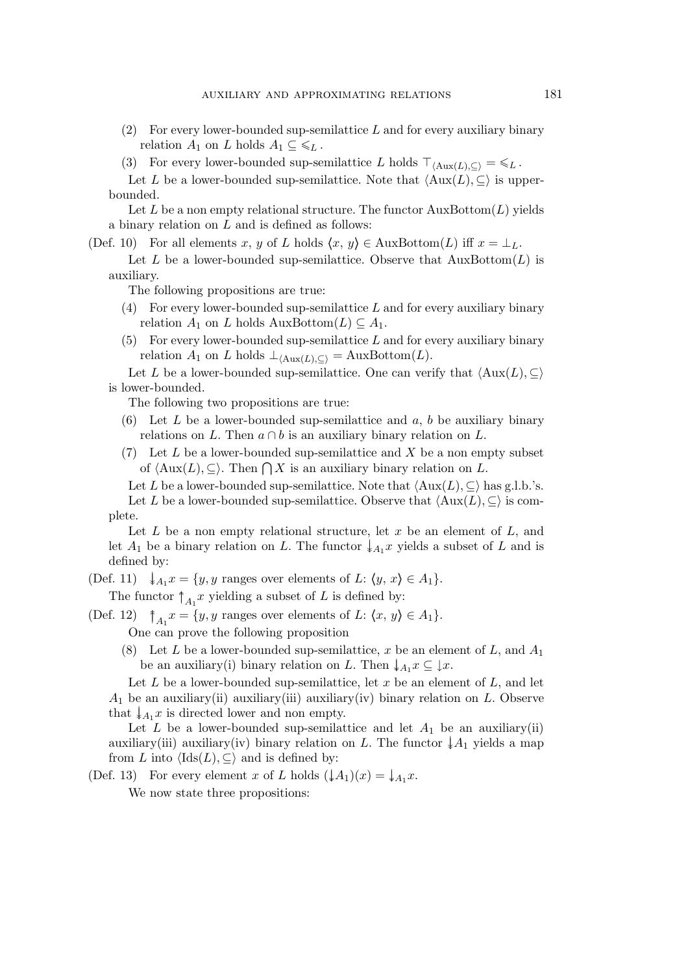- $(2)$  For every lower-bounded sup-semilattice L and for every auxiliary binary relation  $A_1$  on L holds  $A_1 \subseteq \mathcal{L}_L$ .
- (3) For every lower-bounded sup-semilattice L holds  $\top_{\langle \text{Aux}(L),\subset \rangle} = \mathcal{L}_L$ .

Let L be a lower-bounded sup-semilattice. Note that  $\langle \text{Aux}(L), \subseteq \rangle$  is upperbounded.

Let L be a non empty relational structure. The functor  $AuxBottom(L)$  yields a binary relation on  $L$  and is defined as follows:

(Def. 10) For all elements x, y of L holds  $\langle x, y \rangle \in \text{AuxBottom}(L)$  iff  $x = \perp_L$ .

Let L be a lower-bounded sup-semilattice. Observe that  $AuxBottom(L)$  is auxiliary.

The following propositions are true:

- (4) For every lower-bounded sup-semilattice  $L$  and for every auxiliary binary relation  $A_1$  on L holds AuxBottom $(L) \subseteq A_1$ .
- $(5)$  For every lower-bounded sup-semilattice L and for every auxiliary binary relation  $A_1$  on L holds  $\perp_{\langle \text{Aux}(L), \subset \rangle}$  = AuxBottom(L).

Let L be a lower-bounded sup-semilattice. One can verify that  $\langle \text{Aux}(L), \subseteq \rangle$ is lower-bounded.

The following two propositions are true:

- (6) Let  $L$  be a lower-bounded sup-semilattice and  $a, b$  be auxiliary binary relations on L. Then  $a \cap b$  is an auxiliary binary relation on L.
- (7) Let  $L$  be a lower-bounded sup-semilattice and  $X$  be a non empty subset of  $\langle \text{Aux}(L), \subseteq \rangle$ . Then  $\bigcap X$  is an auxiliary binary relation on L.

Let L be a lower-bounded sup-semilattice. Note that  $\langle \text{Aux}(L), \subseteq \rangle$  has g.l.b.'s. Let L be a lower-bounded sup-semilattice. Observe that  $\langle \text{Aux}(L), \subseteq \rangle$  is complete.

Let  $L$  be a non empty relational structure, let  $x$  be an element of  $L$ , and let  $A_1$  be a binary relation on L. The functor  $\downarrow_{A_1} x$  yields a subset of L and is defined by:

(Def. 11)  $\downarrow_{A_1} x = \{y, y \text{ ranges over elements of } L: \langle y, x \rangle \in A_1\}.$ 

The functor  $\uparrow_{A_1} x$  yielding a subset of L is defined by:

- (Def. 12)  $\uparrow_{A_1} x = \{y, y \text{ ranges over elements of } L: \langle x, y \rangle \in A_1\}.$ One can prove the following proposition
	- (8) Let L be a lower-bounded sup-semilattice, x be an element of L, and  $A_1$ be an auxiliary(i) binary relation on L. Then  $\downarrow_{A_1} x \subseteq \downarrow x$ .

Let  $L$  be a lower-bounded sup-semilattice, let  $x$  be an element of  $L$ , and let  $A_1$  be an auxiliary(ii) auxiliary(iii) auxiliary(iv) binary relation on L. Observe that  $\downarrow_{A_1} x$  is directed lower and non empty.

Let  $L$  be a lower-bounded sup-semilattice and let  $A_1$  be an auxiliary(ii) auxiliary(iii) auxiliary(iv) binary relation on L. The functor  $\downarrow A_1$  yields a map from L into  $\langle \text{Ids}(L), \subseteq \rangle$  and is defined by:

(Def. 13) For every element x of L holds  $(\downarrow A_1)(x) = \downarrow A_1 x$ .

We now state three propositions: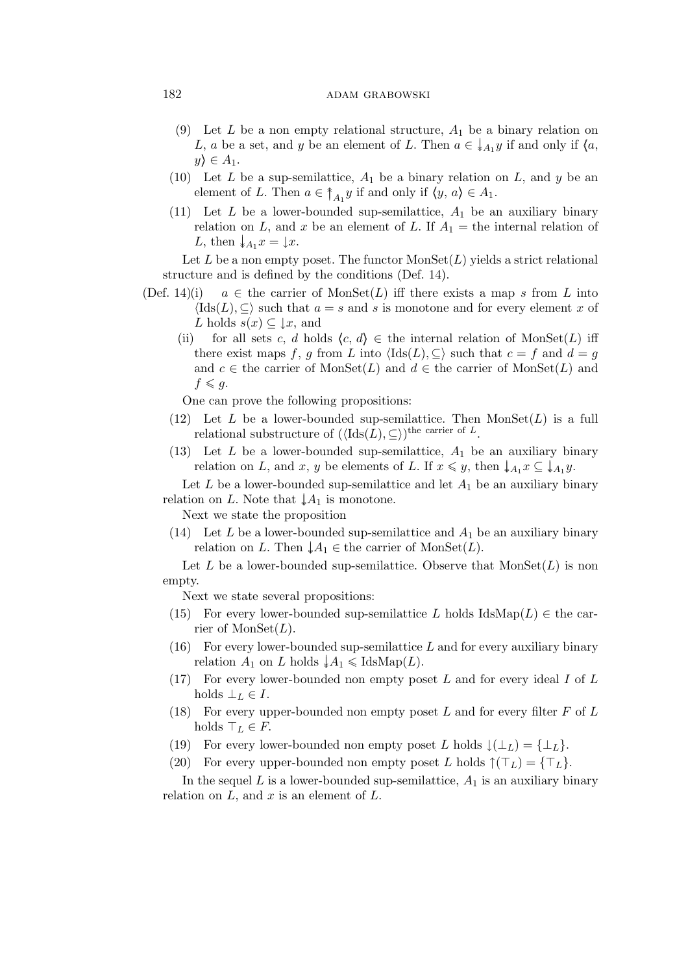# 182 adam grabowski

- (9) Let L be a non empty relational structure,  $A_1$  be a binary relation on L, a be a set, and y be an element of L. Then  $a \in \downarrow_{A_1} y$  if and only if  $\langle a, a \rangle$  $y \rangle \in A_1$ .
- (10) Let L be a sup-semilattice,  $A_1$  be a binary relation on L, and y be an element of L. Then  $a \in \uparrow_{A_1} y$  if and only if  $\langle y, a \rangle \in A_1$ .
- (11) Let L be a lower-bounded sup-semilattice,  $A_1$  be an auxiliary binary relation on L, and x be an element of L. If  $A_1 =$  the internal relation of L, then  $\downarrow_{A_1} x = \downarrow x$ .

Let L be a non empty poset. The functor  $MonSet(L)$  yields a strict relational structure and is defined by the conditions (Def. 14).

- (Def. 14)(i)  $a \in$  the carrier of MonSet(L) iff there exists a map s from L into  $\langle \text{Ids}(L), \subseteq \rangle$  such that  $a = s$  and s is monotone and for every element x of L holds  $s(x) \subseteq \downarrow x$ , and
	- (ii) for all sets c, d holds  $\langle c, d \rangle \in \mathbb{R}$  the internal relation of MonSet(L) iff there exist maps f, g from L into  $\langle \text{Ids}(L), \subseteq \rangle$  such that  $c = f$  and  $d = g$ and  $c \in$  the carrier of MonSet(L) and  $d \in$  the carrier of MonSet(L) and  $f \leqslant g$ .

One can prove the following propositions:

- (12) Let L be a lower-bounded sup-semilattice. Then  $MonSet(L)$  is a full relational substructure of  $(\langle \text{Ids}(L), \subseteq \rangle)$ <sup>the carrier of L</sup>.
- (13) Let  $L$  be a lower-bounded sup-semilattice,  $A_1$  be an auxiliary binary relation on L, and x, y be elements of L. If  $x \leq y$ , then  $\downarrow_{A_1} x \subseteq \downarrow_{A_1} y$ .

Let  $L$  be a lower-bounded sup-semilattice and let  $A_1$  be an auxiliary binary relation on L. Note that  $\downarrow A_1$  is monotone.

Next we state the proposition

(14) Let L be a lower-bounded sup-semilattice and  $A_1$  be an auxiliary binary relation on L. Then  $\downarrow A_1 \in$  the carrier of MonSet(L).

Let L be a lower-bounded sup-semilattice. Observe that  $MonSet(L)$  is non empty.

Next we state several propositions:

- (15) For every lower-bounded sup-semilattice L holds IdsMap(L)  $\in$  the carrier of  $MonSet(L)$ .
- $(16)$  For every lower-bounded sup-semilattice L and for every auxiliary binary relation  $A_1$  on L holds  $\downarrow A_1 \leq \text{IdsMap}(L)$ .
- (17) For every lower-bounded non empty poset  $L$  and for every ideal  $I$  of  $L$ holds  $\perp_L \in I$ .
- (18) For every upper-bounded non empty poset  $L$  and for every filter  $F$  of  $L$ holds  $\top_L \in F$ .
- (19) For every lower-bounded non empty poset L holds  $\downarrow(\perp_L) = {\perp_L}$ .
- (20) For every upper-bounded non empty poset L holds  $\uparrow$   $(T_L) = \{\top_L\}.$

In the sequel L is a lower-bounded sup-semilattice,  $A_1$  is an auxiliary binary relation on  $L$ , and  $x$  is an element of  $L$ .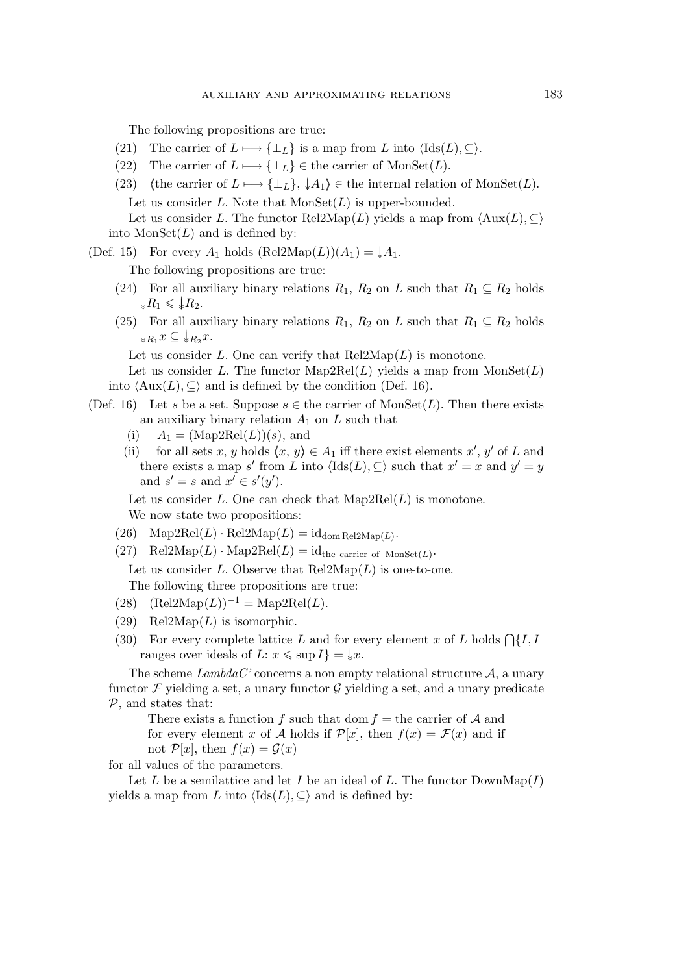The following propositions are true:

- (21) The carrier of  $L \longrightarrow {\perp_L}$  is a map from L into  $\langle \text{Ids}(L), \subseteq \rangle$ .
- (22) The carrier of  $L \longrightarrow {\perp_L} \in \text{the carrier of MonSet}(L)$ .
- (23) (the carrier of  $L \mapsto {\perp_L}$ ,  $\downarrow A_1$ )  $\in$  the internal relation of MonSet(L). Let us consider  $L$ . Note that  $MonSet(L)$  is upper-bounded. Let us consider L. The functor Rel2Map(L) yields a map from  $\langle \text{Aux}(L), \subseteq \rangle$ into  $MonSet(L)$  and is defined by:

(Def. 15) For every  $A_1$  holds  $(Rel2Map(L))(A_1) = \frac{1}{*}A_1$ .

The following propositions are true:

- (24) For all auxiliary binary relations  $R_1, R_2$  on L such that  $R_1 \subseteq R_2$  holds  $\downarrow R_1 \leqslant \downarrow R_2.$
- (25) For all auxiliary binary relations  $R_1, R_2$  on L such that  $R_1 \subseteq R_2$  holds  $\downarrow R_1 x \subseteq \downarrow R_2 x.$

Let us consider L. One can verify that  $\text{Rel2Map}(L)$  is monotone.

Let us consider L. The functor  $\text{Map2Rel}(L)$  yields a map from  $\text{MonSet}(L)$ into  $\langle \text{Aux}(L), \subseteq \rangle$  and is defined by the condition (Def. 16).

- (Def. 16) Let s be a set. Suppose  $s \in \text{the carrier of MonSet}(L)$ . Then there exists an auxiliary binary relation  $A_1$  on  $L$  such that
	- (i)  $A_1 = (\text{Map2Rel}(L))(s)$ , and
	- (ii) for all sets x, y holds  $\langle x, y \rangle \in A_1$  iff there exist elements x', y' of L and there exists a map s' from L into  $\langle \text{Ids}(L), \subseteq \rangle$  such that  $x' = x$  and  $y' = y$ and  $s' = s$  and  $x' \in s'(y')$ .

Let us consider L. One can check that  $\text{Map2Rel}(L)$  is monotone.

We now state two propositions:

- $(26) \quad \text{Map2Rel}(L) \cdot \text{Rel2Map}(L) = \text{id}_{\text{dom} \text{Rel2Map}(L)}$ .
- (27) Rel2Map( $L$ ) · Map2Rel( $L$ ) = id<sub>the carrier of MonSet( $L$ ) ·</sub>

Let us consider L. Observe that  $\text{Rel2Map}(L)$  is one-to-one.

The following three propositions are true:

- (28)  $(\text{Rel2Map}(L))^{-1} = \text{Map2Rel}(L).$
- (29) Rel2Map( $L$ ) is isomorphic.
- (30) For every complete lattice L and for every element x of L holds  $\bigcap \{I, I\}$ ranges over ideals of  $L: x \leqslant \sup I$  =  $\downarrow x$ .

The scheme  $Lambda^C$  concerns a non empty relational structure  $A$ , a unary functor  $\mathcal F$  yielding a set, a unary functor  $\mathcal G$  yielding a set, and a unary predicate *P*, and states that:

There exists a function f such that dom  $f =$  the carrier of  $A$  and for every element x of A holds if  $\mathcal{P}[x]$ , then  $f(x) = \mathcal{F}(x)$  and if not  $\mathcal{P}[x]$ , then  $f(x) = \mathcal{G}(x)$ 

for all values of the parameters.

Let L be a semilattice and let I be an ideal of L. The functor  $\text{DownMap}(I)$ yields a map from L into  $\langle \text{Ids}(L), \subseteq \rangle$  and is defined by: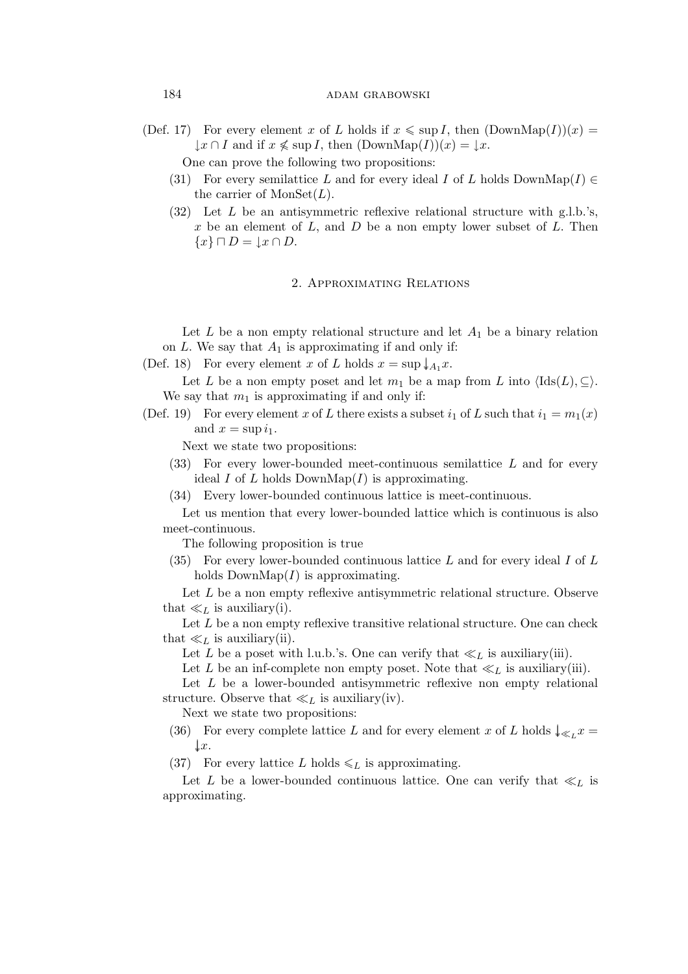# 184 **adam grabowski**

(Def. 17) For every element x of L holds if  $x \leq \sup I$ , then  $(\text{DownMap}(I))(x)$  $\downarrow x \cap I$  and if  $x \nleq \sup I$ , then  $(DownMap(I))(x) = \downarrow x$ .

One can prove the following two propositions:

- (31) For every semilattice L and for every ideal I of L holds DownMap(I)  $\in$ the carrier of  $MonSet(L)$ .
- $(32)$  Let L be an antisymmetric reflexive relational structure with g.l.b.'s, x be an element of  $L$ , and  $D$  be a non empty lower subset of  $L$ . Then *{*x*} ⊓* D = *↓*x *∩* D.

# 2. Approximating Relations

Let  $L$  be a non empty relational structure and let  $A_1$  be a binary relation on  $L$ . We say that  $A_1$  is approximating if and only if:

(Def. 18) For every element x of L holds  $x = \sup \downarrow_{A_1} x$ .

Let L be a non empty poset and let  $m_1$  be a map from L into  $\langle \text{Ids}(L), \subseteq \rangle$ . We say that  $m_1$  is approximating if and only if:

(Def. 19) For every element x of L there exists a subset  $i_1$  of L such that  $i_1 = m_1(x)$ and  $x = \sup i_1$ .

Next we state two propositions:

- $(33)$  For every lower-bounded meet-continuous semilattice L and for every ideal I of L holds DownMap(I) is approximating.
- (34) Every lower-bounded continuous lattice is meet-continuous.

Let us mention that every lower-bounded lattice which is continuous is also meet-continuous.

The following proposition is true

(35) For every lower-bounded continuous lattice  $L$  and for every ideal  $I$  of  $L$ holds  $DownMap(I)$  is approximating.

Let L be a non empty reflexive antisymmetric relational structure. Observe that  $\ll_L$  is auxiliary(i).

Let  $L$  be a non empty reflexive transitive relational structure. One can check that  $\ll_L$  is auxiliary(ii).

Let L be a poset with l.u.b.'s. One can verify that  $\ll_L$  is auxiliary(iii).

Let L be an inf-complete non empty poset. Note that  $\ll_L$  is auxiliary(iii).

Let  $L$  be a lower-bounded antisymmetric reflexive non empty relational structure. Observe that  $\ll_L$  is auxiliary(iv).

Next we state two propositions:

- (36) For every complete lattice L and for every element x of L holds  $\downarrow \leq L x =$ *↓↓*x.
- (37) For every lattice L holds  $\leq L$  is approximating.

Let L be a lower-bounded continuous lattice. One can verify that  $\ll_L$  is approximating.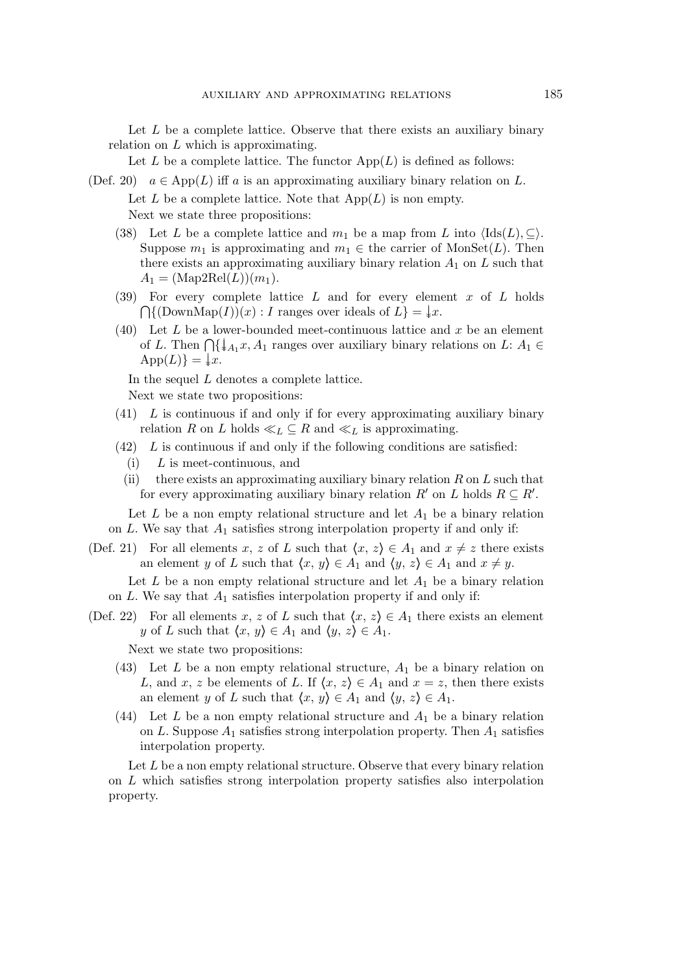Let  $L$  be a complete lattice. Observe that there exists an auxiliary binary relation on  $L$  which is approximating.

Let L be a complete lattice. The functor  $\mathrm{App}(L)$  is defined as follows:

- (Def. 20)  $a \in \text{App}(L)$  iff a is an approximating auxiliary binary relation on L. Let  $L$  be a complete lattice. Note that  $\mathrm{App}(L)$  is non empty. Next we state three propositions:
	- (38) Let L be a complete lattice and  $m_1$  be a map from L into  $\langle \text{Ids}(L), \subseteq \rangle$ . Suppose  $m_1$  is approximating and  $m_1 \in \text{the carrier of MonSet}(L)$ . Then there exists an approximating auxiliary binary relation  $A_1$  on  $L$  such that  $A_1 = (\text{Map2Rel}(L))(m_1).$
	- (39) For every complete lattice  $L$  and for every element  $x$  of  $L$  holds  $\bigcap \{(\text{DownMap}(I))(x) : I \text{ ranges over ideals of } L\} = \{x.$
	- (40) Let L be a lower-bounded meet-continuous lattice and x be an element of L. Then  $\bigcap \{\downarrow_{A_1} x, A_1 \text{ ranges over auxiliary binary relations on } L: A_1 \in$  $\text{App}(L)$ } =  $\downarrow x$ .

In the sequel L denotes a complete lattice.

Next we state two propositions:

- $(41)$  L is continuous if and only if for every approximating auxiliary binary relation R on L holds  $\ll_L \subseteq R$  and  $\ll_L$  is approximating.
- $(42)$  L is continuous if and only if the following conditions are satisfied:
	- $(i)$  L is meet-continuous, and
	- (ii) there exists an approximating auxiliary binary relation  $R$  on  $L$  such that for every approximating auxiliary binary relation  $R'$  on  $L$  holds  $R \subseteq R'$ .

Let  $L$  be a non empty relational structure and let  $A_1$  be a binary relation on  $L$ . We say that  $A_1$  satisfies strong interpolation property if and only if:

(Def. 21) For all elements x, z of L such that  $\langle x, z \rangle \in A_1$  and  $x \neq z$  there exists an element y of L such that  $\langle x, y \rangle \in A_1$  and  $\langle y, z \rangle \in A_1$  and  $x \neq y$ .

Let  $L$  be a non empty relational structure and let  $A_1$  be a binary relation on  $L$ . We say that  $A_1$  satisfies interpolation property if and only if:

(Def. 22) For all elements x, z of L such that  $\langle x, z \rangle \in A_1$  there exists an element y of L such that  $\langle x, y \rangle \in A_1$  and  $\langle y, z \rangle \in A_1$ .

Next we state two propositions:

- (43) Let L be a non empty relational structure,  $A_1$  be a binary relation on L, and x, z be elements of L. If  $\langle x, z \rangle \in A_1$  and  $x = z$ , then there exists an element y of L such that  $\langle x, y \rangle \in A_1$  and  $\langle y, z \rangle \in A_1$ .
- (44) Let L be a non empty relational structure and  $A_1$  be a binary relation on L. Suppose  $A_1$  satisfies strong interpolation property. Then  $A_1$  satisfies interpolation property.

Let  $L$  be a non empty relational structure. Observe that every binary relation on L which satisfies strong interpolation property satisfies also interpolation property.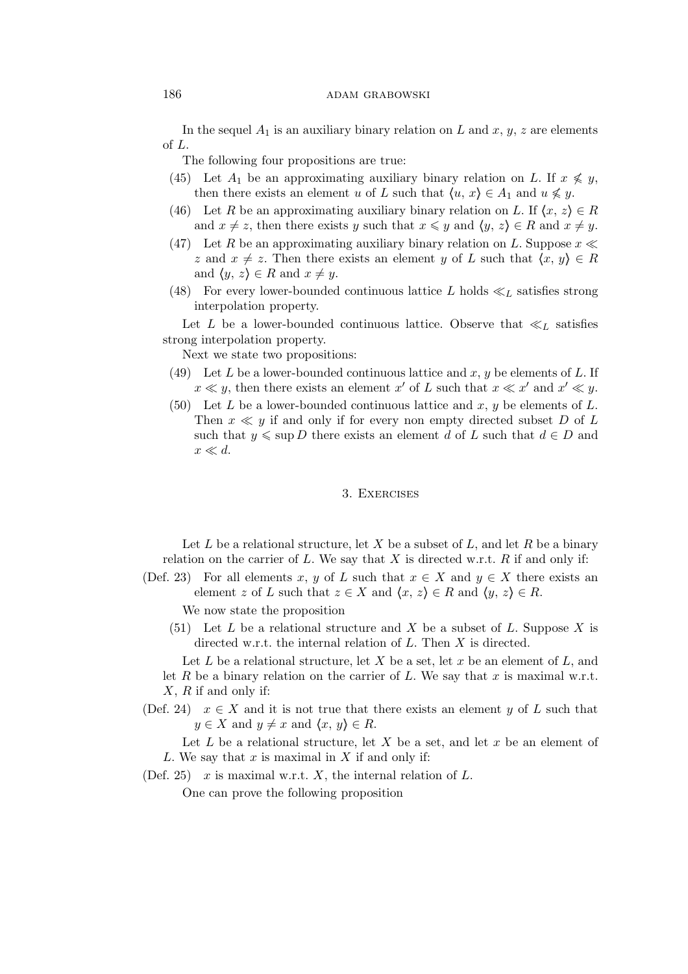## 186 **adam grabowski**

In the sequel  $A_1$  is an auxiliary binary relation on L and x, y, z are elements of L.

The following four propositions are true:

- (45) Let  $A_1$  be an approximating auxiliary binary relation on L. If  $x \nleq y$ , then there exists an element u of L such that  $\langle u, x \rangle \in A_1$  and  $u \nleq y$ .
- (46) Let R be an approximating auxiliary binary relation on L. If  $\langle x, z \rangle \in R$ and  $x \neq z$ , then there exists y such that  $x \leq y$  and  $\langle y, z \rangle \in R$  and  $x \neq y$ .
- (47) Let R be an approximating auxiliary binary relation on L. Suppose  $x \ll$ z and  $x \neq z$ . Then there exists an element y of L such that  $\langle x, y \rangle \in R$ and  $\langle y, z \rangle \in R$  and  $x \neq y$ .
- (48) For every lower-bounded continuous lattice L holds  $\ll_L$  satisfies strong interpolation property.

Let L be a lower-bounded continuous lattice. Observe that  $\ll_L$  satisfies strong interpolation property.

Next we state two propositions:

- (49) Let L be a lower-bounded continuous lattice and  $x, y$  be elements of L. If  $x \ll y$ , then there exists an element x' of L such that  $x \ll x'$  and  $x' \ll y$ .
- (50) Let L be a lower-bounded continuous lattice and x, y be elements of L. Then  $x \ll y$  if and only if for every non empty directed subset D of L such that  $y \leq \sup D$  there exists an element d of L such that  $d \in D$  and x *≪* d.

#### 3. Exercises

Let L be a relational structure, let X be a subset of L, and let R be a binary relation on the carrier of  $L$ . We say that  $X$  is directed w.r.t.  $R$  if and only if:

(Def. 23) For all elements x, y of L such that  $x \in X$  and  $y \in X$  there exists an element z of L such that  $z \in X$  and  $\langle x, z \rangle \in R$  and  $\langle y, z \rangle \in R$ .

We now state the proposition

(51) Let L be a relational structure and X be a subset of L. Suppose X is directed w.r.t. the internal relation of L. Then X is directed.

Let L be a relational structure, let X be a set, let x be an element of  $L$ , and let R be a binary relation on the carrier of L. We say that  $x$  is maximal w.r.t.  $X, R$  if and only if:

(Def. 24)  $x \in X$  and it is not true that there exists an element y of L such that  $y \in X$  and  $y \neq x$  and  $\langle x, y \rangle \in R$ .

Let L be a relational structure, let X be a set, and let x be an element of L. We say that  $x$  is maximal in  $X$  if and only if:

(Def. 25) x is maximal w.r.t. X, the internal relation of L.

One can prove the following proposition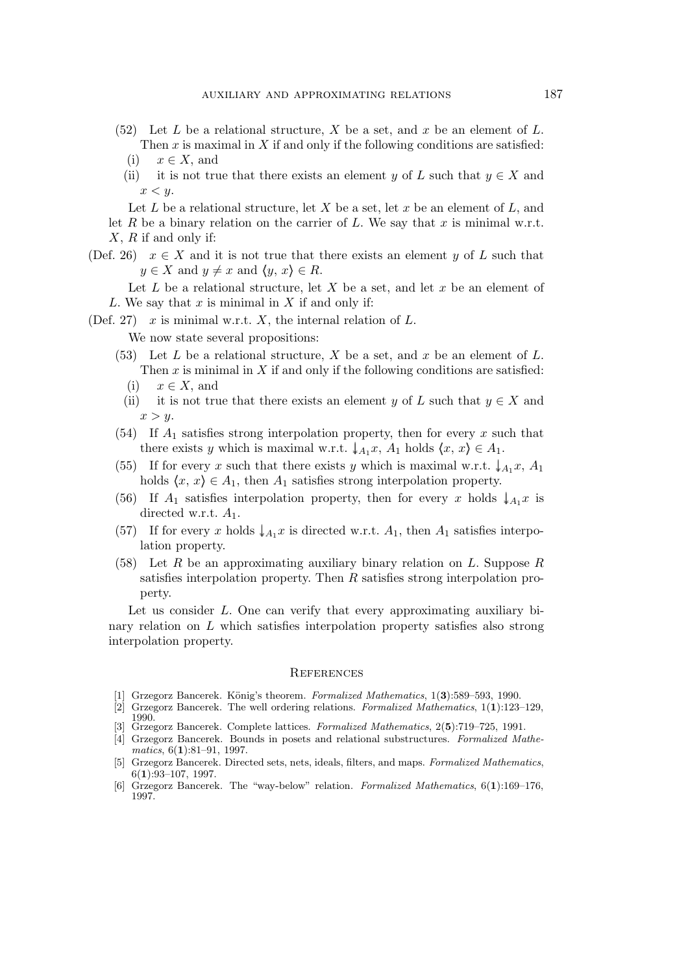- (52) Let L be a relational structure, X be a set, and x be an element of L. Then  $x$  is maximal in  $X$  if and only if the following conditions are satisfied:
	- (i) x *∈* X, and
	- (ii) it is not true that there exists an element y of L such that  $y \in X$  and  $x < y$ .

Let  $L$  be a relational structure, let  $X$  be a set, let  $x$  be an element of  $L$ , and let R be a binary relation on the carrier of L. We say that x is minimal w.r.t.  $X, R$  if and only if:

(Def. 26)  $x \in X$  and it is not true that there exists an element y of L such that  $y \in X$  and  $y \neq x$  and  $\langle y, x \rangle \in R$ .

Let L be a relational structure, let X be a set, and let  $x$  be an element of L. We say that  $x$  is minimal in  $X$  if and only if:

(Def. 27) x is minimal w.r.t. X, the internal relation of  $L$ .

We now state several propositions:

- (53) Let  $L$  be a relational structure,  $X$  be a set, and  $x$  be an element of  $L$ . Then  $x$  is minimal in  $X$  if and only if the following conditions are satisfied:
	- (i) x *∈* X, and
	- (ii) it is not true that there exists an element y of L such that  $y \in X$  and  $x > y$ .
- (54) If  $A_1$  satisfies strong interpolation property, then for every x such that there exists y which is maximal w.r.t.  $\downarrow_{A_1} x$ ,  $A_1$  holds  $\langle x, x \rangle \in A_1$ .
- (55) If for every x such that there exists y which is maximal w.r.t.  $\downarrow_{A_1}$ x,  $A_1$ holds  $\langle x, x \rangle \in A_1$ , then  $A_1$  satisfies strong interpolation property.
- (56) If  $A_1$  satisfies interpolation property, then for every x holds  $\downarrow_{A_1} x$  is directed w.r.t.  $A_1$ .
- (57) If for every x holds  $\downarrow_{A_1} x$  is directed w.r.t.  $A_1$ , then  $A_1$  satisfies interpolation property.
- (58) Let  $R$  be an approximating auxiliary binary relation on  $L$ . Suppose  $R$ satisfies interpolation property. Then R satisfies strong interpolation property.

Let us consider  $L$ . One can verify that every approximating auxiliary binary relation on L which satisfies interpolation property satisfies also strong interpolation property.

#### **REFERENCES**

- [1] Grzegorz Bancerek. König's theorem. *Formalized Mathematics*, 1(3):589–593, 1990.
- [2] Grzegorz Bancerek. The well ordering relations. *Formalized Mathematics*, 1(**1**):123–129, 1990.
- [3] Grzegorz Bancerek. Complete lattices. *Formalized Mathematics*, 2(**5**):719–725, 1991.
- [4] Grzegorz Bancerek. Bounds in posets and relational substructures. *Formalized Mathematics*, 6(**1**):81–91, 1997.
- [5] Grzegorz Bancerek. Directed sets, nets, ideals, filters, and maps. *Formalized Mathematics*, 6(**1**):93–107, 1997.
- [6] Grzegorz Bancerek. The "way-below" relation. *Formalized Mathematics*, 6(**1**):169–176, 1997.